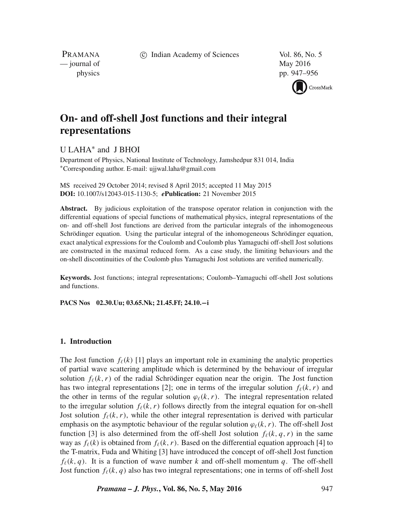c Indian Academy of Sciences Vol. 86, No. 5

PRAMANA — journal of May 2016

physics pp. 947–956



# **On- and off-shell Jost functions and their integral representations**

# U LAHA∗ and J BHOI

Department of Physics, National Institute of Technology, Jamshedpur 831 014, India ∗Corresponding author. E-mail: ujjwal.laha@gmail.com

MS received 29 October 2014; revised 8 April 2015; accepted 11 May 2015 **DOI:** 10.1007/s12043-015-1130-5; *e***Publication:** 21 November 2015

**Abstract.** By judicious exploitation of the transpose operator relation in conjunction with the differential equations of special functions of mathematical physics, integral representations of the on- and off-shell Jost functions are derived from the particular integrals of the inhomogeneous Schrödinger equation. Using the particular integral of the inhomogeneous Schrödinger equation, exact analytical expressions for the Coulomb and Coulomb plus Yamaguchi off-shell Jost solutions are constructed in the maximal reduced form. As a case study, the limiting behaviours and the on-shell discontinuities of the Coulomb plus Yamaguchi Jost solutions are verified numerically.

**Keywords.** Jost functions; integral representations; Coulomb–Yamaguchi off-shell Jost solutions and functions.

**PACS Nos 02.30.Uu; 03.65.Nk; 21.45.Ff; 24.10.−i**

## **1. Introduction**

The Jost function  $f_{\ell}(k)$  [1] plays an important role in examining the analytic properties of partial wave scattering amplitude which is determined by the behaviour of irregular solution  $f_{\ell}(k, r)$  of the radial Schrödinger equation near the origin. The Jost function has two integral representations [2]; one in terms of the irregular solution  $f_{\ell}(k, r)$  and the other in terms of the regular solution  $\varphi_{\ell}(k, r)$ . The integral representation related to the irregular solution  $f_{\ell}(k, r)$  follows directly from the integral equation for on-shell Jost solution  $f_{\ell}(k, r)$ , while the other integral representation is derived with particular emphasis on the asymptotic behaviour of the regular solution  $\varphi_{\ell}(k, r)$ . The off-shell Jost function [3] is also determined from the off-shell Jost solution  $f_{\ell}(k, q, r)$  in the same way as  $f_{\ell}(k)$  is obtained from  $f_{\ell}(k, r)$ . Based on the differential equation approach [4] to the T-matrix, Fuda and Whiting [3] have introduced the concept of off-shell Jost function  $f_{\ell}(k, q)$ . It is a function of wave number k and off-shell momentum q. The off-shell Jost function  $f_{\ell}(k, q)$  also has two integral representations; one in terms of off-shell Jost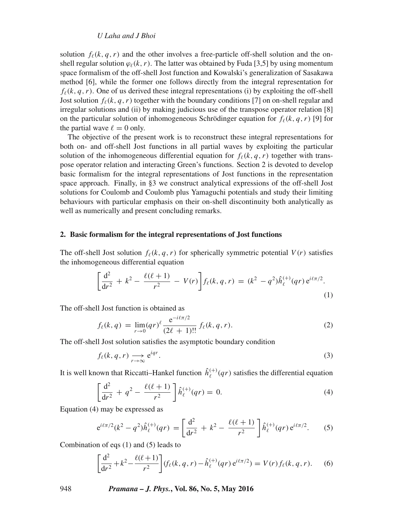## *U Laha and J Bhoi*

solution  $f_{\ell}(k, q, r)$  and the other involves a free-particle off-shell solution and the onshell regular solution  $\varphi_{\ell}(k, r)$ . The latter was obtained by Fuda [3,5] by using momentum space formalism of the off-shell Jost function and Kowalski's generalization of Sasakawa method [6], while the former one follows directly from the integral representation for  $f_{\ell}(k, q, r)$ . One of us derived these integral representations (i) by exploiting the off-shell Jost solution  $f_{\ell}(k, q, r)$  together with the boundary conditions [7] on on-shell regular and irregular solutions and (ii) by making judicious use of the transpose operator relation [8] on the particular solution of inhomogeneous Schrödinger equation for  $f_{\ell}(k, q, r)$  [9] for the partial wave  $\ell = 0$  only.

The objective of the present work is to reconstruct these integral representations for both on- and off-shell Jost functions in all partial waves by exploiting the particular solution of the inhomogeneous differential equation for  $f_{\ell}(k, q, r)$  together with transpose operator relation and interacting Green's functions. Section 2 is devoted to develop basic formalism for the integral representations of Jost functions in the representation space approach. Finally, in §3 we construct analytical expressions of the off-shell Jost solutions for Coulomb and Coulomb plus Yamaguchi potentials and study their limiting behaviours with particular emphasis on their on-shell discontinuity both analytically as well as numerically and present concluding remarks.

#### **2. Basic formalism for the integral representations of Jost functions**

The off-shell Jost solution  $f_{\ell}(k, q, r)$  for spherically symmetric potential  $V(r)$  satisfies the inhomogeneous differential equation

$$
\left[\frac{d^2}{dr^2} + k^2 - \frac{\ell(\ell+1)}{r^2} - V(r)\right] f_{\ell}(k, q, r) = (k^2 - q^2) \hat{h}_{\ell}^{(+)}(qr) e^{i\ell\pi/2}.
$$
\n(1)

The off-shell Jost function is obtained as

$$
f_{\ell}(k,q) = \lim_{r \to 0} (qr)^{\ell} \frac{e^{-i\ell \pi/2}}{(2\ell+1)!!} f_{\ell}(k,q,r).
$$
 (2)

The off-shell Jost solution satisfies the asymptotic boundary condition

$$
f_{\ell}(k, q, r) \underset{r \to \infty}{\longrightarrow} e^{iqr}.
$$
 (3)

It is well known that Riccatti–Hankel function  $\hat{h}^{(+)}_{\ell}(qr)$  satisfies the differential equation

$$
\left[\frac{d^2}{dr^2} + q^2 - \frac{\ell(\ell+1)}{r^2}\right] \hat{h}^{(+)}_{\ell}(qr) = 0.
$$
 (4)

Equation (4) may be expressed as

$$
e^{i\ell\pi/2}(k^2 - q^2)\hat{h}^{(+)}_{\ell}(qr) = \left[\frac{d^2}{dr^2} + k^2 - \frac{\ell(\ell+1)}{r^2}\right]\hat{h}^{(+)}_{\ell}(qr)e^{i\ell\pi/2}.
$$
 (5)

Combination of eqs (1) and (5) leads to

$$
\left[\frac{d^2}{dr^2} + k^2 - \frac{\ell(\ell+1)}{r^2}\right] (f_\ell(k, q, r) - \hat{h}_\ell^{(+)}(qr) e^{i\ell\pi/2}) = V(r) f_\ell(k, q, r).
$$
 (6)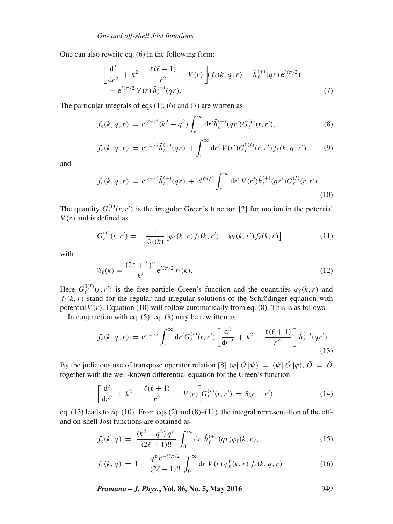One can also rewrite eq. (6) in the following form:

$$
\left[\frac{d^2}{dr^2} + k^2 - \frac{\ell(\ell+1)}{r^2} - V(r)\right] (f_{\ell}(k, q, r) - \hat{h}_{\ell}^{(+)}(qr) e^{i\ell\pi/2})
$$
  
=  $e^{i\ell\pi/2} V(r) \hat{h}_{\ell}^{(+)}(qr).$  (7)

The particular integrals of eqs  $(1)$ ,  $(6)$  and  $(7)$  are written as

$$
f_{\ell}(k, q, r) = e^{i\ell\pi/2}(k^2 - q^2) \int_r^{\infty} dr' \hat{h}_{\ell}^{(+)}(qr') G_{\ell}^{(I)}(r, r'),
$$
\n(8)

$$
f_{\ell}(k,q,r) = e^{i\ell\pi/2} \hat{h}_{\ell}^{(+)}(qr) + \int_{r}^{\infty} dr' V(r') G_{\ell}^{0(I)}(r,r') f_{\ell}(k,q,r')
$$
(9)

and

$$
f_{\ell}(k,q,r) = e^{i\ell\pi/2} \hat{h}_{\ell}^{(+)}(qr) + e^{i\ell\pi/2} \int_{r}^{\infty} dr' V(r') \hat{h}_{\ell}^{(+)}(qr') G_{\ell}^{(I)}(r,r').
$$
\n(10)

The quantity  $G_{\ell}^{(I)}(r, r')$  is the irregular Green's function [2] for motion in the potential  $V(r)$  and is defined as

$$
G_{\ell}^{(I)}(r,r') = -\frac{1}{\Im_{\ell}(k)} \left[ \varphi_{\ell}(k,r) f_{\ell}(k,r') - \varphi_{\ell}(k,r') f_{\ell}(k,r) \right]
$$
(11)

with

$$
\mathfrak{F}_{\ell}(k) = \frac{(2\ell+1)!!}{k^{\ell}} e^{i\ell \pi/2} f_{\ell}(k).
$$
 (12)

Here  $G_{\ell}^{0(I)}(r, r')$  is the free-particle Green's function and the quantities  $\varphi_{\ell}(k, r)$  and  $f_{\ell}(k, r)$  stand for the regular and irregular solutions of the Schrödinger equation with potential  $V(r)$ . Equation (10) will follow automatically from eq. (8). This is as follows.

In conjunction with eq.  $(5)$ , eq.  $(8)$  may be rewritten as

$$
f_{\ell}(k,q,r) = e^{i\ell\pi/2} \int_r^{\infty} dr' G_{\ell}^{(I)}(r,r') \left[ \frac{d^2}{dr'^2} + k^2 - \frac{\ell(\ell+1)}{r'^2} \right] \hat{h}_{\ell}^{(+)}(qr'). \tag{13}
$$

By the judicious use of transpose operator relation [8]  $\langle \varphi | \hat{O} | \psi \rangle = \langle \psi | \tilde{O} | \varphi \rangle$ ,  $\tilde{O} = \hat{O}$ together with the well-known differential equation for the Green's function

$$
\left[\frac{d^2}{dr^2} + k^2 - \frac{\ell(\ell+1)}{r^2} - V(r)\right] G_{\ell}^{(I)}(r, r') = \delta(r - r')
$$
\n(14)

eq.  $(13)$  leads to eq.  $(10)$ . From eqs  $(2)$  and  $(8)$ – $(11)$ , the integral representation of the offand on-shell Jost functions are obtained as

$$
f_{\ell}(k,q) = \frac{(k^2 - q^2) q^{\ell}}{(2\ell + 1)!!} \int_0^{\infty} dr \ \hat{h}_{\ell}^{(+)}(qr) \varphi_{\ell}(k,r), \tag{15}
$$

$$
f_{\ell}(k,q) = 1 + \frac{q^{\ell} e^{-i\ell\pi/2}}{(2\ell+1)!!} \int_0^{\infty} dr \ V(r) \, \varphi_{\ell}^0(k,r) \, f_{\ell}(k,q,r) \tag{16}
$$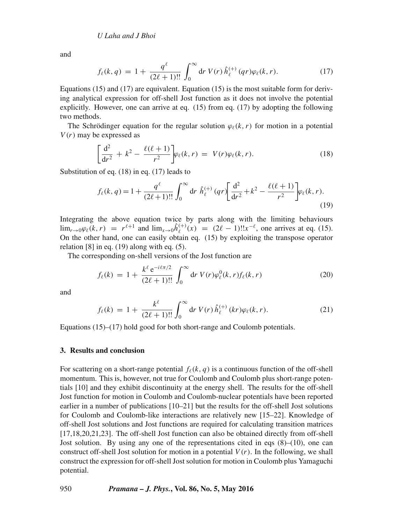and

$$
f_{\ell}(k,q) = 1 + \frac{q^{\ell}}{(2\ell+1)!!} \int_0^{\infty} dr \ V(r) \hat{h}_{\ell}^{(+)}(qr) \varphi_{\ell}(k,r). \tag{17}
$$

Equations (15) and (17) are equivalent. Equation (15) is the most suitable form for deriving analytical expression for off-shell Jost function as it does not involve the potential explicitly. However, one can arrive at eq. (15) from eq. (17) by adopting the following two methods.

The Schrödinger equation for the regular solution  $\varphi_{\ell}(k, r)$  for motion in a potential  $V(r)$  may be expressed as

$$
\left[\frac{\mathrm{d}^2}{\mathrm{d}r^2} + k^2 - \frac{\ell(\ell+1)}{r^2}\right] \varphi_\ell(k,r) = V(r)\varphi_\ell(k,r). \tag{18}
$$

Substitution of eq. (18) in eq. (17) leads to

$$
f_{\ell}(k,q) = 1 + \frac{q^{\ell}}{(2\ell+1)!!} \int_0^{\infty} dr \ \hat{h}_{\ell}^{(+)}(qr) \left[ \frac{d^2}{dr^2} + k^2 - \frac{\ell(\ell+1)}{r^2} \right] \varphi_{\ell}(k,r).
$$
\n(19)

Integrating the above equation twice by parts along with the limiting behaviours  $\lim_{r \to 0} \varphi_{\ell}(k, r) = r^{\ell+1}$  and  $\lim_{x \to 0} \hat{h}_{\ell}^{(+)}(x) = (2\ell - 1)!!x^{-\ell}$ , one arrives at eq. (15). On the other hand, one can easily obtain eq. (15) by exploiting the transpose operator relation  $[8]$  in eq.  $(19)$  along with eq.  $(5)$ .

The corresponding on-shell versions of the Jost function are

$$
f_{\ell}(k) = 1 + \frac{k^{\ell} e^{-i\ell \pi/2}}{(2\ell + 1)!!} \int_0^{\infty} dr \ V(r) \varphi_{\ell}^0(k, r) f_{\ell}(k, r) \tag{20}
$$

and

$$
f_{\ell}(k) = 1 + \frac{k^{\ell}}{(2\ell+1)!!} \int_0^{\infty} dr \ V(r) \hat{h}_{\ell}^{(+)}(kr) \varphi_{\ell}(k, r). \tag{21}
$$

Equations (15)–(17) hold good for both short-range and Coulomb potentials.

#### **3. Results and conclusion**

For scattering on a short-range potential  $f_{\ell}(k, q)$  is a continuous function of the off-shell momentum. This is, however, not true for Coulomb and Coulomb plus short-range potentials [10] and they exhibit discontinuity at the energy shell. The results for the off-shell Jost function for motion in Coulomb and Coulomb-nuclear potentials have been reported earlier in a number of publications [10–21] but the results for the off-shell Jost solutions for Coulomb and Coulomb-like interactions are relatively new [15–22]. Knowledge of off-shell Jost solutions and Jost functions are required for calculating transition matrices [17,18,20,21,23]. The off-shell Jost function can also be obtained directly from off-shell Jost solution. By using any one of the representations cited in eqs  $(8)$ – $(10)$ , one can construct off-shell Jost solution for motion in a potential  $V(r)$ . In the following, we shall construct the expression for off-shell Jost solution for motion in Coulomb plus Yamaguchi potential.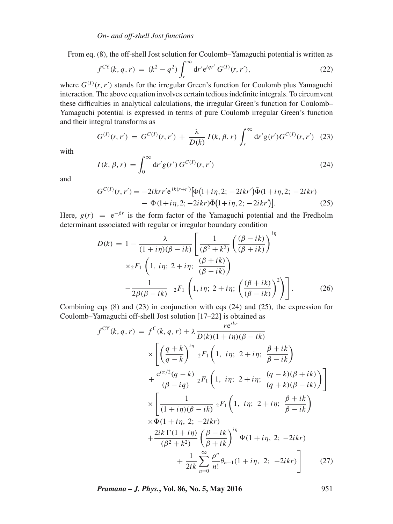From eq. (8), the off-shell Jost solution for Coulomb–Yamaguchi potential is written as

$$
f^{CY}(k, q, r) = (k^2 - q^2) \int_r^{\infty} dr' e^{iqr'} G^{(1)}(r, r'), \qquad (22)
$$

where  $G^{(1)}(r, r')$  stands for the irregular Green's function for Coulomb plus Yamaguchi interaction. The above equation involves certain tedious indefinite integrals. To circumvent these difficulties in analytical calculations, the irregular Green's function for Coulomb– Yamaguchi potential is expressed in terms of pure Coulomb irregular Green's function and their integral transforms as

$$
G^{(I)}(r,r') = G^{C(I)}(r,r') + \frac{\lambda}{D(k)} I(k,\beta,r) \int_r^{\infty} dr' g(r') G^{C(I)}(r,r') \quad (23)
$$

with

$$
I(k, \beta, r) = \int_0^\infty dr' g(r') G^{C(I)}(r, r')
$$
 (24)

and

$$
G^{C(I)}(r,r') = -2ikrr'e^{ik(r+r')}[\Phi(1+i\eta,2; -2ikr')\bar{\Phi}(1+i\eta,2; -2ikr)- \Phi(1+i\eta,2; -2ikr)\bar{\Phi}(1+i\eta,2; -2ikr)].
$$
\n(25)

Here,  $g(r) = e^{-\beta r}$  is the form factor of the Yamaguchi potential and the Fredholm determinant associated with regular or irregular boundary condition

$$
D(k) = 1 - \frac{\lambda}{(1+i\eta)(\beta - ik)} \left[ \frac{1}{(\beta^2 + k^2)} \left( \frac{(\beta - ik)}{(\beta + ik)} \right)^{i\eta} \times {}_{2}F_{1} \left( 1, i\eta; 2 + i\eta; \frac{(\beta + ik)}{(\beta - ik)} \right) - \frac{1}{2\beta(\beta - ik)} {}_{2}F_{1} \left( 1, i\eta; 2 + i\eta; \left( \frac{(\beta + ik)}{(\beta - ik)} \right)^{2} \right) \right].
$$
 (26)

Combining eqs  $(8)$  and  $(23)$  in conjunction with eqs  $(24)$  and  $(25)$ , the expression for Coulomb–Yamaguchi off-shell Jost solution [17–22] is obtained as

$$
f^{CY}(k, q, r) = f^{C}(k, q, r) + \lambda \frac{re^{ikr}}{D(k)(1 + i\eta)(\beta - ik)}
$$
  
\n
$$
\times \left[ \left( \frac{q + k}{q - k} \right)^{i\eta} {}_{2}F_{1} \left( 1, i\eta; 2 + i\eta; \frac{\beta + ik}{\beta - ik} \right) + \frac{e^{i\pi/2}(q - k)}{(\beta - iq)} {}_{2}F_{1} \left( 1, i\eta; 2 + i\eta; \frac{(q - k)(\beta + ik)}{(q + k)(\beta - ik)} \right) \right]
$$
  
\n
$$
\times \left[ \frac{1}{(1 + i\eta)(\beta - ik)} {}_{2}F_{1} \left( 1, i\eta; 2 + i\eta; \frac{\beta + ik}{\beta - ik} \right) + \frac{2ik \Gamma(1 + i\eta)}{(\beta^{2} + k^{2})} \left( \frac{\beta - ik}{\beta + ik} \right)^{i\eta} \Psi(1 + i\eta, 2; -2ikr) + \frac{1}{2ik} \sum_{n=0}^{\infty} \frac{\rho^{n}}{n!} \theta_{n+1}(1 + i\eta, 2; -2ikr) \right]
$$
(27)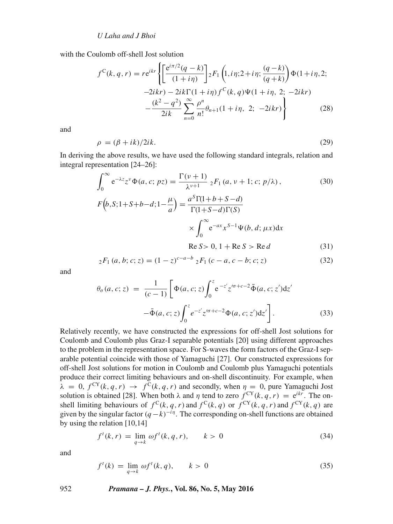with the Coulomb off-shell Jost solution

$$
f^{C}(k, q, r) = re^{ikr} \left\{ \left[ \frac{e^{i\pi/2} (q - k)}{(1 + i\eta)} \right] {}_{2}F_{1} \left( 1, i\eta; 2 + i\eta; \frac{(q - k)}{(q + k)} \right) \Phi(1 + i\eta, 2; -2ikr) - 2ik\Gamma(1 + i\eta) f^{C}(k, q) \Psi(1 + i\eta, 2; -2ikr) - \frac{(k^{2} - q^{2})}{2ik} \sum_{n=0}^{\infty} \frac{\rho^{n}}{n!} \theta_{n+1} (1 + i\eta, 2; -2ikr) \right\}
$$
(28)

and

$$
\rho = (\beta + ik)/2ik. \tag{29}
$$

In deriving the above results, we have used the following standard integrals, relation and integral representation [24–26]:

$$
\int_0^\infty e^{-\lambda z} z^{\nu} \Phi(a, c; pz) = \frac{\Gamma(\nu + 1)}{\lambda^{\nu + 1}} {}_2F_1(a, \nu + 1; c; p/\lambda),
$$
(30)  

$$
F(b, S; 1 + S + b - d; 1 - \frac{\mu}{a}) = \frac{a^S \Gamma(1 + b + S - d)}{\Gamma(1 + S - d) \Gamma(S)}
$$

$$
\times \int_0^\infty e^{-ax} x^{S - 1} \Psi(b, d; \mu x) dx
$$

$$
\text{Re } S > 0, 1 + \text{Re } S > \text{Re } d
$$
(31)

$$
{}_2F_1(a, b; c; z) = (1 - z)^{c - a - b} {}_2F_1(c - a, c - b; c; z)
$$
\n(32)

and

$$
\theta_{\sigma}(a, c; z) = \frac{1}{(c-1)} \left[ \Phi(a, c; z) \int_0^z e^{-z'} z'^{\sigma + c - 2} \bar{\Phi}(a, c; z') dz' - \bar{\Phi}(a, c; z) \int_0^z e^{-z'} z'^{\sigma + c - 2} \Phi(a, c; z') dz' \right].
$$
\n(33)

Relatively recently, we have constructed the expressions for off-shell Jost solutions for Coulomb and Coulomb plus Graz-I separable potentials [20] using different approaches to the problem in the representation space. For S-waves the form factors of the Graz-I separable potential coincide with those of Yamaguchi [27]. Our constructed expressions for off-shell Jost solutions for motion in Coulomb and Coulomb plus Yamaguchi potentials produce their correct limiting behaviours and on-shell discontinuity. For example, when  $\lambda = 0$ ,  $f^{CY}(k, q, r) \rightarrow f^{C}(k, q, r)$  and secondly, when  $\eta = 0$ , pure Yamaguchi Jost solution is obtained [28]. When both  $\lambda$  and  $\eta$  tend to zero  $f^{CY}(k, q, r) = e^{ikr}$ . The onshell limiting behaviours of  $f^C(k, q, r)$  and  $f^C(k, q)$  or  $f^{CY}(k, q, r)$  and  $f^{CY}(k, q)$  are given by the singular factor  $(q - k)^{-i\eta}$ . The corresponding on-shell functions are obtained by using the relation [10,14]

$$
f'(k,r) = \lim_{q \to k} \omega f'(k,q,r), \qquad k > 0 \tag{34}
$$

and

$$
f'(k) = \lim_{q \to k} \omega f'(k, q), \qquad k > 0 \tag{35}
$$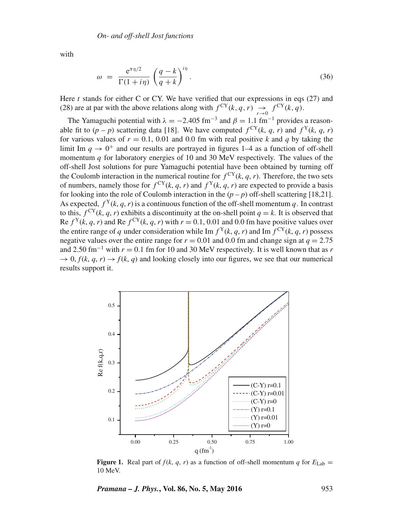with

$$
\omega = \frac{e^{\pi \eta/2}}{\Gamma(1+i\eta)} \left(\frac{q-k}{q+k}\right)^{i\eta}.
$$
\n(36)

Here  $t$  stands for either C or CY. We have verified that our expressions in eqs (27) and (28) are at par with the above relations along with  $f^{CY}(k, q, r) \rightarrow f^{CY}(k, q)$ .

The Yamaguchi potential with  $\lambda = -2.405$  fm<sup>-3</sup> and  $\beta = 1.1$  fm<sup>-1</sup> provides a reasonable fit to  $(p - p)$  scattering data [18]. We have computed  $f^{CY}(k, q, r)$  and  $f^{Y}(k, q, r)$ for various values of  $r = 0.1$ , 0.01 and 0.0 fm with real positive k and q by taking the limit Im  $q \to 0^+$  and our results are portrayed in figures 1–4 as a function of off-shell momentum  $q$  for laboratory energies of 10 and 30 MeV respectively. The values of the off-shell Jost solutions for pure Yamaguchi potential have been obtained by turning off the Coulomb interaction in the numerical routine for  $f^{CY}(k, q, r)$ . Therefore, the two sets of numbers, namely those for  $f^{CY}(k, q, r)$  and  $f^{Y}(k, q, r)$  are expected to provide a basis for looking into the role of Coulomb interaction in the  $(p - p)$  off-shell scattering [18,21]. As expected,  $f^{Y}(k, q, r)$  is a continuous function of the off-shell momentum q. In contrast to this,  $f^{CY}(k, q, r)$  exhibits a discontinuity at the on-shell point  $q = k$ . It is observed that Re  $f^{Y}(k, q, r)$  and Re  $f^{CY}(k, q, r)$  with  $r = 0.1, 0.01$  and 0.0 fm have positive values over the entire range of q under consideration while Im  $f^{Y}(k, q, r)$  and Im  $f^{CY}(k, q, r)$  possess negative values over the entire range for  $r = 0.01$  and 0.0 fm and change sign at  $q = 2.75$ and 2.50 fm<sup>-1</sup> with  $r = 0.1$  fm for 10 and 30 MeV respectively. It is well known that as *r*  $\rightarrow$  0,  $f(k, q, r) \rightarrow f(k, q)$  and looking closely into our figures, we see that our numerical results support it.



**Figure 1.** Real part of  $f(k, q, r)$  as a function of off-shell momentum *q* for  $E_{\text{Lab}} =$ 10 MeV.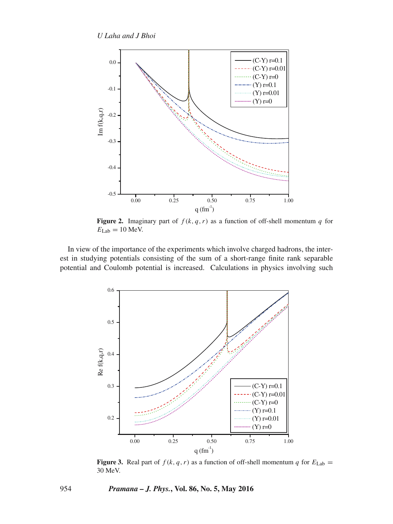

**Figure 2.** Imaginary part of  $f(k, q, r)$  as a function of off-shell momentum q for  $E_{\text{Lab}} = 10$  MeV.

In view of the importance of the experiments which involve charged hadrons, the interest in studying potentials consisting of the sum of a short-range finite rank separable potential and Coulomb potential is increased. Calculations in physics involving such



**Figure 3.** Real part of  $f(k, q, r)$  as a function of off-shell momentum q for  $E_{\text{Lab}} =$ 30 MeV.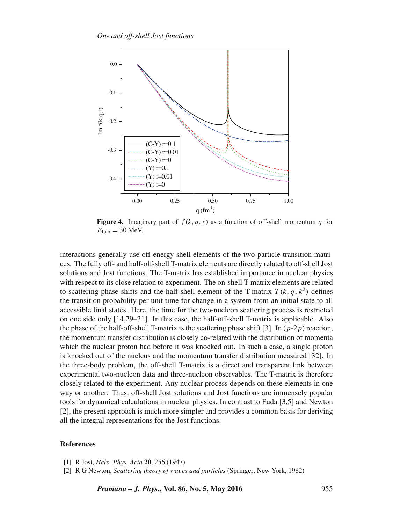

**Figure 4.** Imaginary part of  $f(k, q, r)$  as a function of off-shell momentum q for  $E_{\text{Lab}} = 30$  MeV.

interactions generally use off-energy shell elements of the two-particle transition matrices. The fully off- and half-off-shell T-matrix elements are directly related to off-shell Jost solutions and Jost functions. The T-matrix has established importance in nuclear physics with respect to its close relation to experiment. The on-shell T-matrix elements are related to scattering phase shifts and the half-shell element of the T-matrix  $T(k, q, k^2)$  defines the transition probability per unit time for change in a system from an initial state to all accessible final states. Here, the time for the two-nucleon scattering process is restricted on one side only [14,29–31]. In this case, the half-off-shell T-matrix is applicable. Also the phase of the half-off-shell T-matrix is the scattering phase shift [3]. In  $(p-2p)$  reaction, the momentum transfer distribution is closely co-related with the distribution of momenta which the nuclear proton had before it was knocked out. In such a case, a single proton is knocked out of the nucleus and the momentum transfer distribution measured [32]. In the three-body problem, the off-shell T-matrix is a direct and transparent link between experimental two-nucleon data and three-nucleon observables. The T-matrix is therefore closely related to the experiment. Any nuclear process depends on these elements in one way or another. Thus, off-shell Jost solutions and Jost functions are immensely popular tools for dynamical calculations in nuclear physics. In contrast to Fuda [3,5] and Newton [2], the present approach is much more simpler and provides a common basis for deriving all the integral representations for the Jost functions.

#### **References**

<sup>[1]</sup> R Jost, *Hel*v*. Phys. Acta* **20**, 256 (1947)

<sup>[2]</sup> R G Newton, *Scattering theory of wa*v*es and particles* (Springer, New York, 1982)